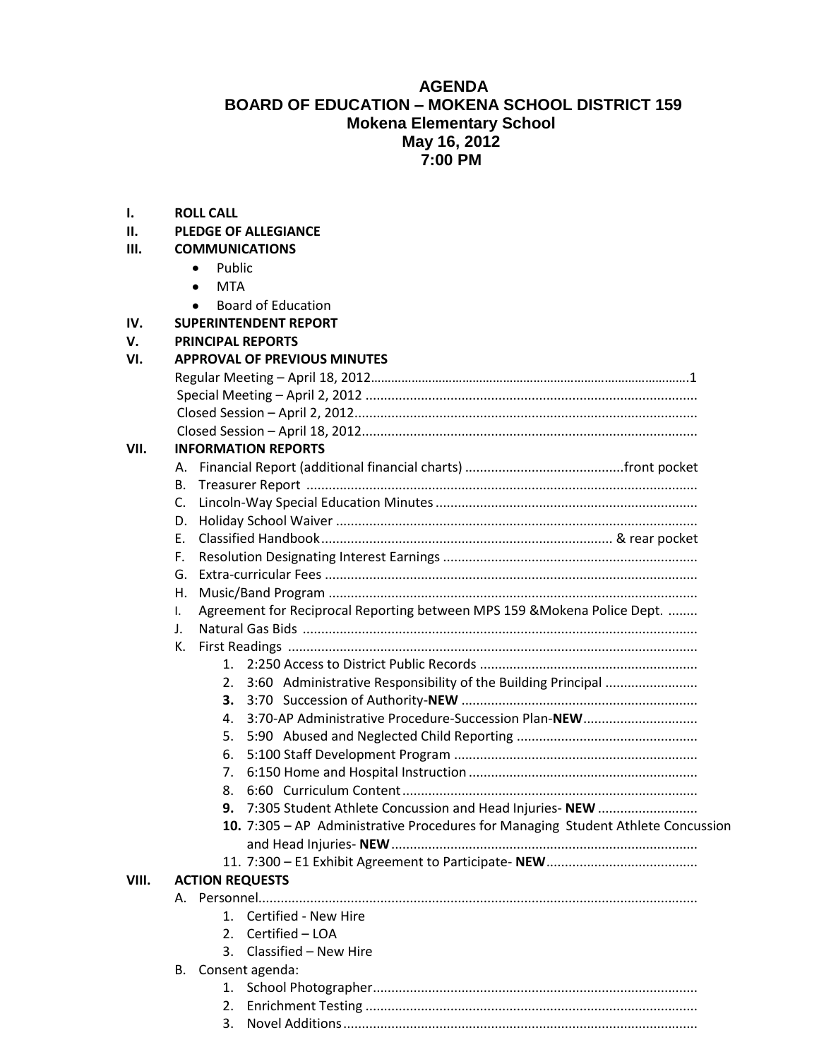## **AGENDA BOARD OF EDUCATION – MOKENA SCHOOL DISTRICT 159 Mokena Elementary School May 16, 2012 7:00 PM**

**I. ROLL CALL**

| II.   | <b>PLEDGE OF ALLEGIANCE</b>                                                      |  |  |
|-------|----------------------------------------------------------------------------------|--|--|
| Ш.    | <b>COMMUNICATIONS</b>                                                            |  |  |
|       | Public<br>٠                                                                      |  |  |
|       | <b>MTA</b><br>$\bullet$<br><b>Board of Education</b><br>٠                        |  |  |
|       |                                                                                  |  |  |
| IV.   | <b>SUPERINTENDENT REPORT</b>                                                     |  |  |
| V.    | <b>PRINCIPAL REPORTS</b>                                                         |  |  |
| VI.   | <b>APPROVAL OF PREVIOUS MINUTES</b>                                              |  |  |
|       |                                                                                  |  |  |
|       |                                                                                  |  |  |
|       |                                                                                  |  |  |
|       |                                                                                  |  |  |
| VII.  | <b>INFORMATION REPORTS</b>                                                       |  |  |
|       |                                                                                  |  |  |
|       | B.                                                                               |  |  |
|       | C.                                                                               |  |  |
|       | D.                                                                               |  |  |
|       | Е.                                                                               |  |  |
|       | F.                                                                               |  |  |
|       | G.                                                                               |  |  |
|       | Η.                                                                               |  |  |
|       | Agreement for Reciprocal Reporting between MPS 159 & Mokena Police Dept.<br>I.   |  |  |
|       | J.                                                                               |  |  |
|       | К.                                                                               |  |  |
|       | 1.                                                                               |  |  |
|       | 3:60 Administrative Responsibility of the Building Principal<br>2.               |  |  |
|       | 3.                                                                               |  |  |
|       | 3:70-AP Administrative Procedure-Succession Plan-NEW<br>4.                       |  |  |
|       | 5.                                                                               |  |  |
|       | 6.                                                                               |  |  |
|       | 7.                                                                               |  |  |
|       | 8.                                                                               |  |  |
|       | 7:305 Student Athlete Concussion and Head Injuries- NEW<br>9.                    |  |  |
|       | 10. 7:305 - AP Administrative Procedures for Managing Student Athlete Concussion |  |  |
|       |                                                                                  |  |  |
|       |                                                                                  |  |  |
| VIII. | <b>ACTION REQUESTS</b>                                                           |  |  |
|       |                                                                                  |  |  |
|       | 1. Certified - New Hire                                                          |  |  |
|       | 2. Certified - LOA                                                               |  |  |
|       | 3. Classified - New Hire                                                         |  |  |
|       | B. Consent agenda:                                                               |  |  |
|       | 1.                                                                               |  |  |
|       | 2.                                                                               |  |  |
|       | 3.                                                                               |  |  |
|       |                                                                                  |  |  |